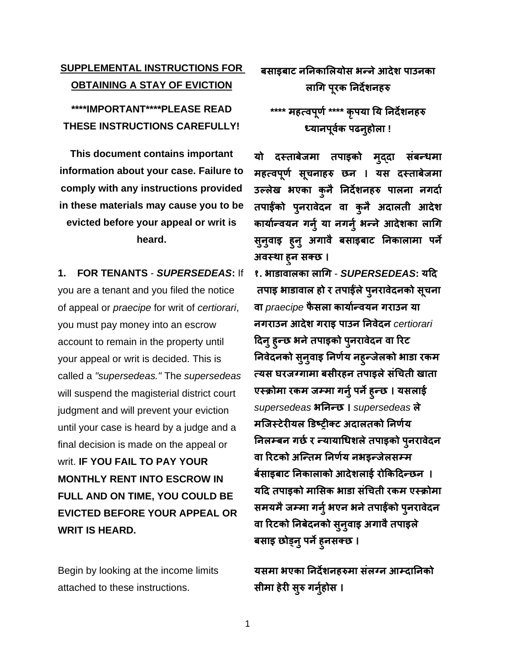## **SUPPLEMENTAL INSTRUCTIONS FOR OBTAINING A STAY OF EVICTION**

**\*\*\*\*IMPORTANT\*\*\*\*PLEASE READ THESE INSTRUCTIONS CAREFULLY!**

**This document contains important information about your case. Failure to comply with any instructions provided in these materials may cause you to be evicted before your appeal or writ is heard.**

**1. FOR TENANTS** - *SUPERSEDEAS***:** If you are a tenant and you filed the notice of appeal or *praecipe* for writ of *certiorari*, you must pay money into an escrow account to remain in the property until your appeal or writ is decided. This is called a *"supersedeas."* The *supersedeas* will suspend the magisterial district court judgment and will prevent your eviction until your case is heard by a judge and a final decision is made on the appeal or writ. **IF YOU FAIL TO PAY YOUR MONTHLY RENT INTO ESCROW IN FULL AND ON TIME, YOU COULD BE EVICTED BEFORE YOUR APPEAL OR WRIT IS HEARD.**

Begin by looking at the income limits attached to these instructions.

**बसाइबाट नननकालियोस भन्नेआदेश पाउनका िागि पूरक ननदेशनहरु**

**\*\*\*\* महत्वपूर्ण\*\*\*\* कृपया नय ननदेशनहरु ध्यानपूवकण पढनुहोिा !**

**यो दस्ताबेजमा तपाइको मुद्दा संबन्धमा महत्वपूर्ण सूचनाहरु छन । यस दस्ताबेजमा उल्िेख भएका कुनै ननदेशनहरु पािना निदाण तपाईंको पुनरावेदन वा कुनै अदािती आदेश कायाणन्वयन िनुण या निनुण भन्नेआदेशका िागि सुनुवाइ हुनु अिावै बसाइबाट ननकािामा पने अवस्था हुन सक्छ ।**

**१. भाडावािका िागि** - *SUPERSEDEAS***:** यदि तपाइ भाडावाल हो र तपाईले पुनरावेदनको सूचना वा *praecipe* फै सला कायाान्वयन गराउन या नगराउन आिेश गराइ पाउन ननवेिन *certiorari* दिन् हुन्छ भने तपाइको पुनरावेदन वा रिट निवेदनको सुनुवाइ निर्णय नह्न्जेलको भाडा रकम त्यस घरजग्गामा बसीरहन तपाइले संचिती खाता एस्क्रोमा रकम जम्मा गर्नु पर्ने हुन्छ । यसलाई *supersedeas* भननन्छ । *supersedeas* ले मजिस्टेरीयल डिष्ट्रीक्ट अदालतको निर्णय निलम्बन गर्छ र न्यायाधिशले तपाइको पुनरावेदन वा ररटको अजन्तम ननर्ाय नभइन्जेलसम्म र्बसाइबाट निकालाको आदेशलाई रोकिदिन्छन । **यदद तपाइको मालसक भाडा संगचती रकम एस्रोमा समयमैजम्मा िनुणभएन भनेतपाईंको पुनरावेदन वा ररटको ननबेदनको सुनुवाइ अिावैतपाइिे बसाइ छोड्नुपनेहुनसक्छ ।**

यसमा भएका निर्देशनहरुमा संलग्न आम्दानिको सीमा हेरी सुरु गर्नुहोस ।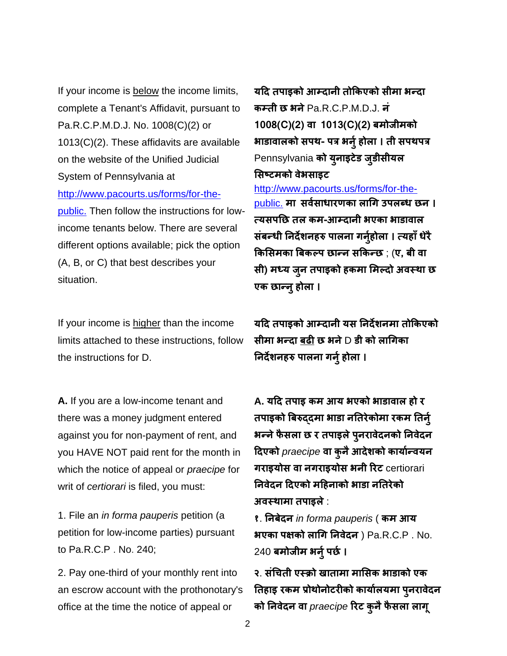If your income is below the income limits, complete a Tenant's Affidavit, pursuant to Pa.R.C.P.M.D.J. No. 1008(C)(2) or 1013(C)(2). These affidavits are available on the website of the Unified Judicial System of Pennsylvania at [http://www.pacourts.us/forms/for-the](http://www.pacourts.us/forms/for-the-public.)[public.](http://www.pacourts.us/forms/for-the-public.) Then follow the instructions for lowincome tenants below. There are several different options available; pick the option

(A, B, or C) that best describes your situation.

If your income is higher than the income limits attached to these instructions, follow the instructions for D.

**A.** If you are a low-income tenant and there was a money judgment entered against you for non-payment of rent, and you HAVE NOT paid rent for the month in which the notice of appeal or *praecipe* for writ of *certiorari* is filed, you must:

1. File an *in forma pauperis* petition (a petition for low-income parties) pursuant to Pa.R.C.P . No. 240;

2. Pay one-third of your monthly rent into an escrow account with the prothonotary's office at the time the notice of appeal or

यदि तपाइको आम्दानी तोकिएको सीमा भन्दा कम्ती छ भने Pa.R.C.P.M.D.J. न 1008(C)(2) वा 1013(C)(2) बमोजीमको भाडावालको सपथ- पत्र भर्नु होला । ती सपथपत्र Pennsylvania को यूनाइटेड जुडीसीयल सिष्टमको वेभसाइट

[http://www.pacourts.us/forms/for-the](http://www.pacourts.us/forms/for-the-public.)[public.](http://www.pacourts.us/forms/for-the-public.) मा सर्वसाधारणका लागि उपलब्ध छन। त्यसपनछ तल कम-आम्िानी भएका भाडावाल संबन्धी निर्देशनहरु पालना गर्नुहोला । त्यहाँ धेरै किसिमका बिकल्प छान्न सकिन्छ ; (ए, बी वा सी) मध्य जुन तपाइको हकमा मिल्दो अवस्था छ एक छान्नुहोला ।

यदि तपाइको आम्दानी यस निर्देशनमा तोकिएको सीमा भन्दा बढी छ भने  $D$  डी को लागिका निर्देशनहरु पालना गर्नु होला ।

**A.** यदि तपाइ कम आय भएको भाडावाल हो र तपाइको बिरुददमा भाडा नतिरेकोमा रकम तिर्न् भन्ने फैसला छ र तपाइले पुनरावेदनको निवेदन दिएको *praecipe* वा कुनैआिेशको कायाान्वयन गराइयोस वा नगराइयोस भनी रिट certiorari निवेदन दिएको महिनाको भाडा नतिरेको अवस्क्थामा तपाइले:

१. ननबेिन *in forma pauperis* ( कम आय भएका पक्षको लाचग ननवेिन ) Pa.R.C.P . No. 240 बमोजीम भर्नु पर्छ।

२. संचचती एस्क्रो खातामा माससक भाडाको एक तिहाइ रकम प्रोथोनोटरीको कार्यालयमा पुनरावेदन को ननवेिन वा *praecipe* ररट कुनैफै सला लागू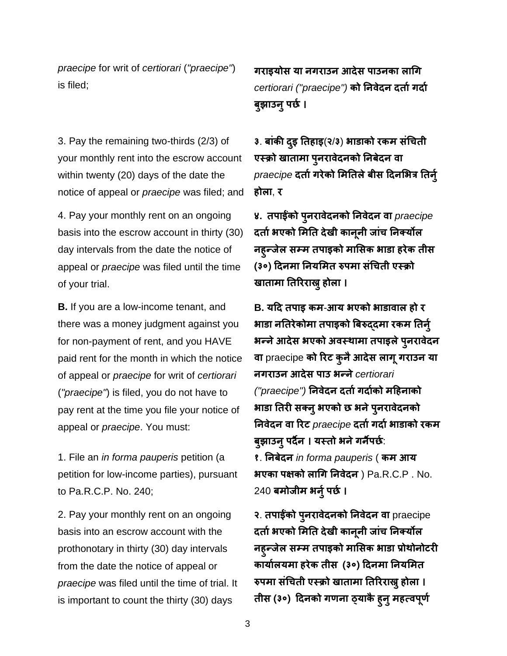*praecipe* for writ of *certiorari* (*"praecipe"*) is filed;

3. Pay the remaining two-thirds (2/3) of your monthly rent into the escrow account within twenty (20) days of the date the notice of appeal or *praecipe* was filed; and

4. Pay your monthly rent on an ongoing basis into the escrow account in thirty (30) day intervals from the date the notice of appeal or *praecipe* was filed until the time of your trial.

**B.** If you are a low-income tenant, and there was a money judgment against you for non-payment of rent, and you HAVE paid rent for the month in which the notice of appeal or *praecipe* for writ of *certiorari* (*"praecipe"*) is filed, you do not have to pay rent at the time you file your notice of appeal or *praecipe*. You must:

1. File an *in forma pauperis* petition (a petition for low-income parties), pursuant to Pa.R.C.P. No. 240;

2. Pay your monthly rent on an ongoing basis into an escrow account with the prothonotary in thirty (30) day intervals from the date the notice of appeal or *praecipe* was filed until the time of trial. It is important to count the thirty (30) days

गराइयोस या नगराउन आदेस पाउनका लागि *certiorari ("praecipe")* को निवेदन दर्ता गर्दा बुझाउन् पर्छ ।

३. बांकी िइु नतहाइ(२/३) भाडाको रकम संचचती एस्क्रो खातामा पुनरावेदनको निबेदन वा *praecipe* दर्ता गरेको मितिले बीस दिनभित्र तिर्न् होला, र

४. तपाईंको पुनरावेदनको निवेदन वा *praecipe* दर्ता भएको मिति देखी कानूनी जांच निक्योंल नहुन्जेल सम्म तपाइको माससक भाडा हरेक तीस (३०) दिनमा ननयसमत रुपमा संचचती एस्क्रो खातामा नतररराख्नुहोला ।

**B.** यदि तपाइ कम-आय भएको भाडावाल हो र भाडा नतिरेकोमा तपाइको बिरुददमा रकम तिर्न् भन्ने आदेस भएको अवस्थामा तपाइले पुनरावेदन वा praecipe को रिट कुनै आदेस लागू गराउन या नगराउन आिेस पाउ भन्ने*certiorari ("praecipe")* निवेदन दर्ता गर्दाको महिनाको भाडा तिरी सक्नु भएको छ भने पुनरावेदनको ननवेिन वा ररट *praecipe* िताागिााभाडाको रकम बुझाउन् पर्दैन । यस्तो भने गर्नैपर्छ: १. ननबेिन *in forma pauperis* ( कम आय भएका पक्षको लाचग ननवेिन ) Pa.R.C.P . No.

240 बमोजीम भर्नु पर्छ।

२. तपाईंको पुनरावेदनको निवेदन वा praecipe दर्ता भएको मिति देखी कानूनी जांच निक्योंल नहुन्जेल सम्म तपाइको माससक भाडा प्रोथोनोटरी कायाालयमा हरेक तीस (३०) दिनमा ननयसमत रुपमा संचिती एस्क्रो खातामा तिरिराख् होला । तीस (३०) दिनको गणना ठ्याकै हुनु महत्वपूर्ण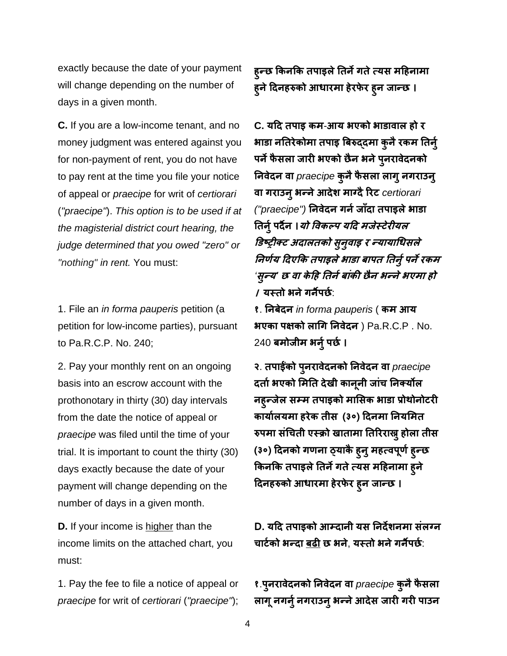exactly because the date of your payment will change depending on the number of days in a given month.

**C.** If you are a low-income tenant, and no money judgment was entered against you for non-payment of rent, you do not have to pay rent at the time you file your notice of appeal or *praecipe* for writ of *certiorari*  (*"praecipe"*). *This option is to be used if at the magisterial district court hearing, the judge determined that you owed "zero" or "nothing" in rent.* You must:

1. File an *in forma pauperis* petition (a petition for low-income parties), pursuant to Pa.R.C.P. No. 240;

2. Pay your monthly rent on an ongoing basis into an escrow account with the prothonotary in thirty (30) day intervals from the date the notice of appeal or *praecipe* was filed until the time of your trial. It is important to count the thirty (30) days exactly because the date of your payment will change depending on the number of days in a given month.

**D.** If your income is higher than the income limits on the attached chart, you must:

1. Pay the fee to file a notice of appeal or *praecipe* for writ of *certiorari* (*"praecipe"*);

हुन्छ किनकि तपाइले तिर्ने गते त्यस महिनामा हुने दिनहरुको आधारमा हेरफेर हुन जान्छ ।

**C.** यदि तपाइ कम-आय भएको भाडावाल हो र भाडा नतिरेकोमा तपाइ बिरुददमा कुनै रकम तिर्न् पर्ने फैसला जारी भएको छैन भने पुनरावेदनको ननवेिन वा *praecipe* कुनैफै सला लागुनगराउनु वा गराउनुभन्नेआिेश माग्िैररट *certiorari ("praecipe")* निवेदन गर्न जाँदा तपाइले भाडा तिर्नु पर्दैन ।*यो विकल्प यदि मजेस्टेरीयल* डिष्ट्रीक्ट अदालतको सुनुवाइ र न्यायाधिसले निर्णय दिएकि तपाइले भाडा बापत तिर्नु पर्ने रकम *'*सुन्य*'* <sup>छ</sup> वा के दह नतनाबांकी छैन भन्नेभएमा हो । यस्क्तो भनेगनैपछा:

१. ननबेिन *in forma pauperis* ( कम आय भएका पक्षको लागि निवेदन)  $Pa.R.C.P$  . No. 240 बमोजीम भर्नु पर्छ।

२. तपाईंको पुनरावेदनको निवेदन वा *praecipe* दर्ता भएको मिति देखी कानूनी जांच निक्योंल नहुन्जेल सम्म तपाइको माससक भाडा प्रोथोनोटरी कायाालयमा हरेक तीस (३०) दिनमा ननयसमत रुपमा संचिती एस्क्रो खातामा तिरिराख्नु होला तीस (३०) दिनको गणना ठ्याकै हुन् महत्वपूर्ण हुन्छ किनकि तपाइले तिर्ने गते त्यस महिनामा हुने दिनहरुको आधारमा हेरफेर हुन जान्छ ।

**D.** यदि तपाइको आम्िानी यस ननिेशनमा संलग्न चार्टको भन्दा बढी छ भने, यस्तो भने गर्नैपर्छ:

१.पुनरावेदनको निवेदन वा *praecipe* कुनै फैसला लागू नगर्नु नगराउनु भन्ने आदेस जारी गरी पाउन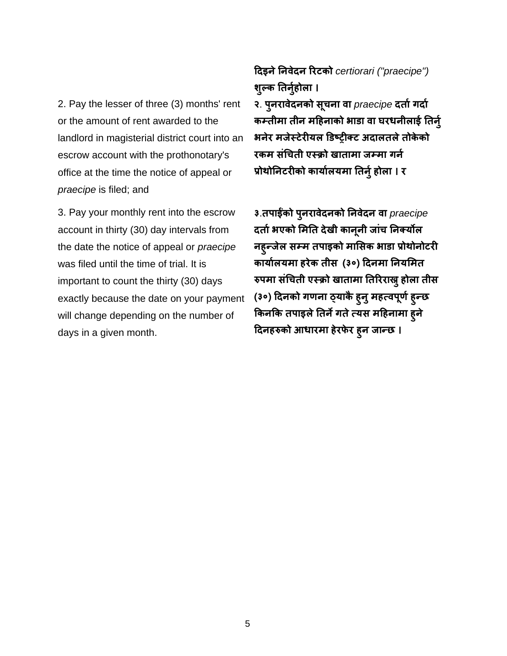2. Pay the lesser of three (3) months' rent or the amount of rent awarded to the landlord in magisterial district court into an escrow account with the prothonotary's office at the time the notice of appeal or *praecipe* is filed; and

3. Pay your monthly rent into the escrow account in thirty (30) day intervals from the date the notice of appeal or *praecipe* was filed until the time of trial. It is important to count the thirty (30) days exactly because the date on your payment will change depending on the number of days in a given month.

## दिइनेननवेिन ररटको *certiorari ("praecipe")* शुल्क तिर्नुहोला ।

२. पुनरावेदनको सूचना वा *praecipe* दर्ता गर्दा कम्तीमा तीन महिनाको भाडा वा घरधनीलाई तिर्न् भनेर मजेस्टेरीयल डिष्ट्रीक्ट अदालतले तोकेको रकम संचिती एस्क्रो खातामा जम्मा गर्न प्रोथोनिटरीको कार्यालयमा तिर्नु होला । र

३.तपाईंको पुनरावेिनको ननवेिन वा *praecipe*  दर्ता भएको मिति देखी कानूनी जांच निक्योंल नहुन्जेल सम्म तपाइको माससक भाडा प्रोथोनोटरी कायाालयमा हरेक तीस (३०) दिनमा ननयसमत रुपमा संचिती एस्क्रो खातामा तिरिराख्नु होला तीस (३०) दिनको गणना ठ्याकै ह्नु महत्वपूर्ण ह्न्छ किनकि तपाइले तिर्ने गते त्यस महिनामा हुने दिनहरुको आधारमा हेरफेर हुन जान्छ ।